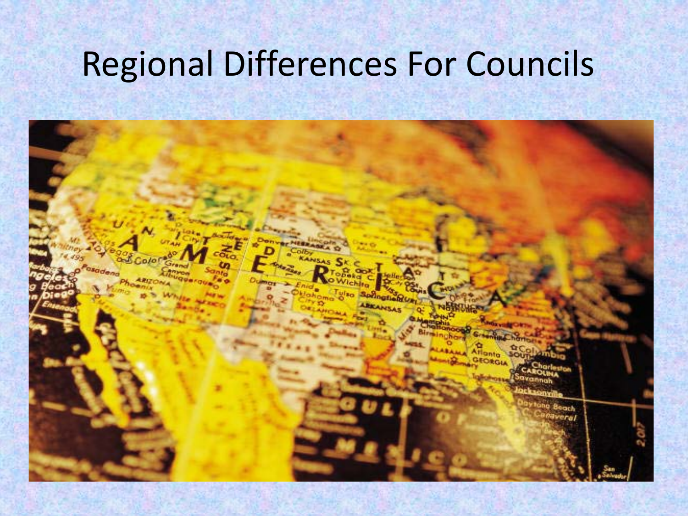#### Regional Differences For Councils

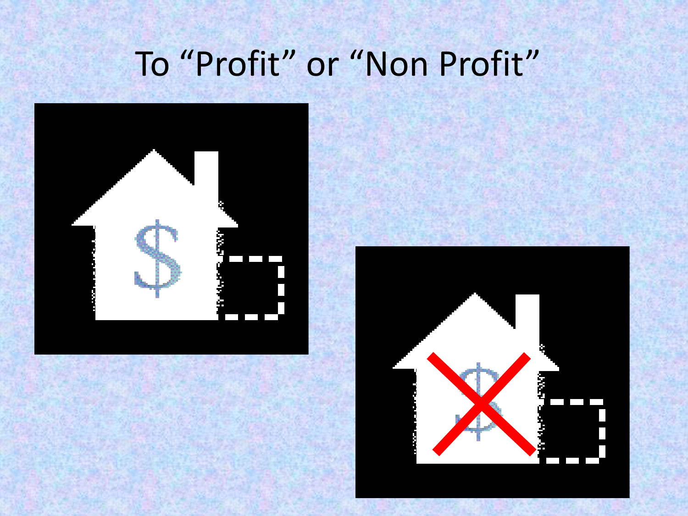### To "Profit" or "Non Profit"



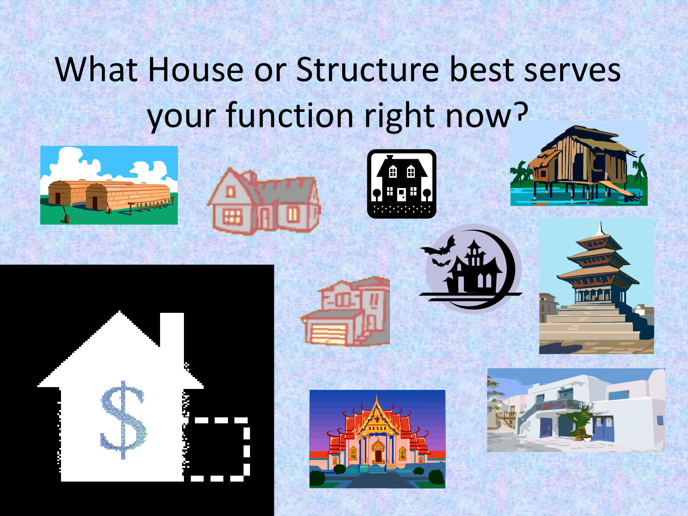## What House or Structure best serves your function right now?

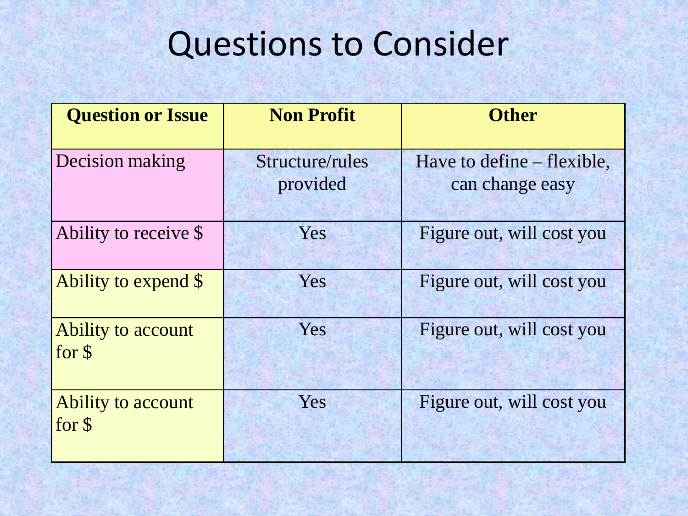| <b>Question or Issue</b>             | <b>Non Profit</b>           | <b>Other</b>                                  |
|--------------------------------------|-----------------------------|-----------------------------------------------|
| Decision making                      | Structure/rules<br>provided | Have to define – flexible,<br>can change easy |
| Ability to receive \$                | Yes                         | Figure out, will cost you                     |
| Ability to expend \$                 | Yes                         | Figure out, will cost you                     |
| Ability to account<br>for $\sqrt{s}$ | Yes                         | Figure out, will cost you                     |
| Ability to account<br>for \$         | Yes                         | Figure out, will cost you                     |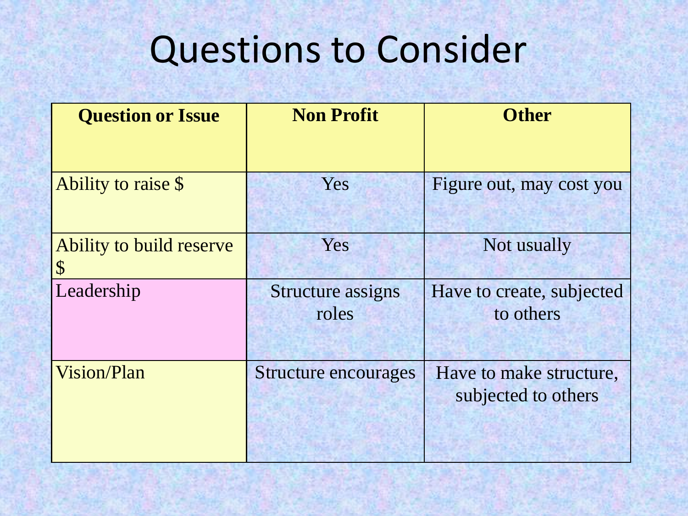| <b>Question or Issue</b>                  | <b>Non Profit</b>                 | <b>Other</b>                                   |
|-------------------------------------------|-----------------------------------|------------------------------------------------|
|                                           |                                   |                                                |
| Ability to raise \$                       | Yes                               | Figure out, may cost you                       |
| Ability to build reserve<br>${\mathbb S}$ | Yes                               | Not usually                                    |
| Leadership                                | <b>Structure assigns</b><br>roles | Have to create, subjected<br>to others         |
| Vision/Plan                               | Structure encourages              | Have to make structure,<br>subjected to others |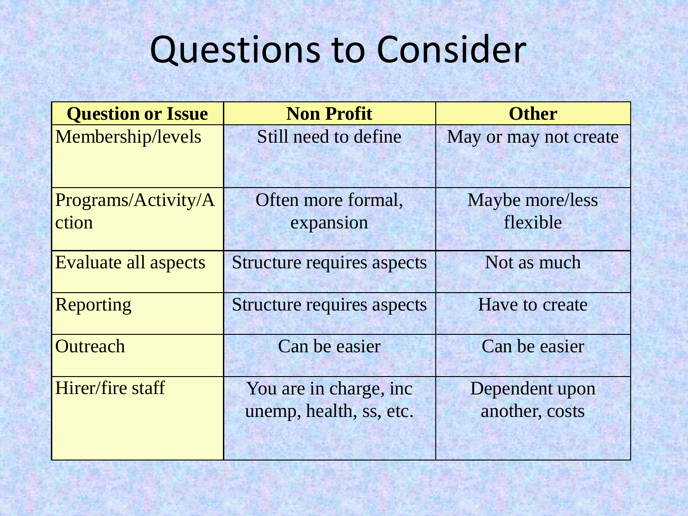| <b>Question or Issue</b>     | <b>Non Profit</b>                                 | <b>Other</b>                     |
|------------------------------|---------------------------------------------------|----------------------------------|
| Membership/levels            | Still need to define                              | May or may not create            |
| Programs/Activity/A<br>ction | Often more formal,<br>expansion                   | Maybe more/less<br>flexible      |
| Evaluate all aspects         | <b>Structure requires aspects</b>                 | Not as much                      |
| Reporting                    | <b>Structure requires aspects</b>                 | Have to create                   |
| Outreach                     | Can be easier                                     | Can be easier                    |
| Hirer/fire staff             | You are in charge, inc<br>unemp, health, ss, etc. | Dependent upon<br>another, costs |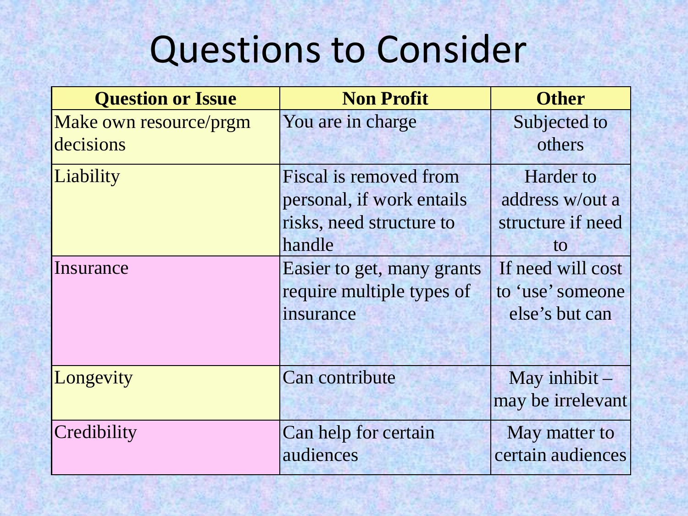| <b>Question or Issue</b> | <b>Non Profit</b>          | <b>Other</b>      |
|--------------------------|----------------------------|-------------------|
| Make own resource/prgm   | You are in charge          | Subjected to      |
| decisions                |                            | others            |
| Liability                | Fiscal is removed from     | <b>Harder</b> to  |
|                          | personal, if work entails  | address w/out a   |
|                          | risks, need structure to   | structure if need |
|                          | handle                     | to                |
| Insurance                | Easier to get, many grants | If need will cost |
|                          | require multiple types of  | to 'use' someone  |
|                          | insurance                  | else's but can    |
|                          |                            |                   |
| Longevity                | Can contribute             | May inhibit $-$   |
|                          |                            | may be irrelevant |
| Credibility              | Can help for certain       | May matter to     |
|                          | audiences                  | certain audiences |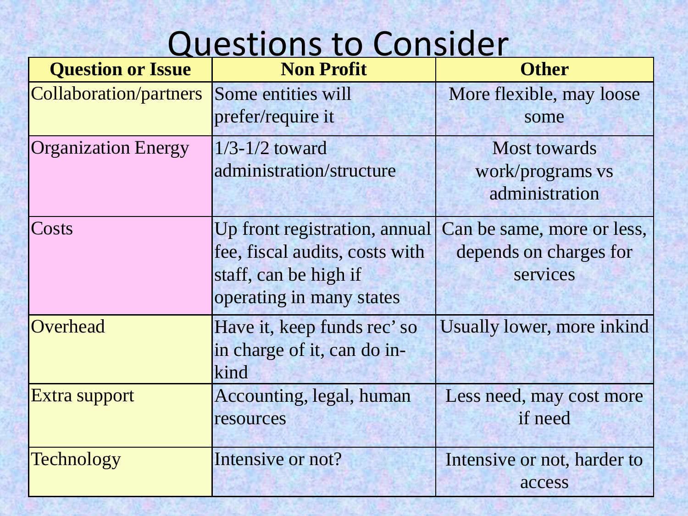| <b>Question or Issue</b>   | <b>Non Profit</b>                                                                                                    | <b>Other</b>                                                     |
|----------------------------|----------------------------------------------------------------------------------------------------------------------|------------------------------------------------------------------|
| Collaboration/partners     | Some entities will<br>prefer/require it                                                                              | More flexible, may loose<br>some                                 |
| <b>Organization Energy</b> | $1/3$ -1/2 toward<br>administration/structure                                                                        | <b>Most towards</b><br>work/programs vs<br>administration        |
| <b>Costs</b>               | Up front registration, annual<br>fee, fiscal audits, costs with<br>staff, can be high if<br>operating in many states | Can be same, more or less,<br>depends on charges for<br>services |
| Overhead                   | Have it, keep funds rec'so<br>in charge of it, can do in-<br>kind                                                    | Usually lower, more inkind                                       |
| Extra support              | Accounting, legal, human<br>resources                                                                                | Less need, may cost more<br>if need                              |
| <b>Technology</b>          | Intensive or not?                                                                                                    | Intensive or not, harder to<br>access                            |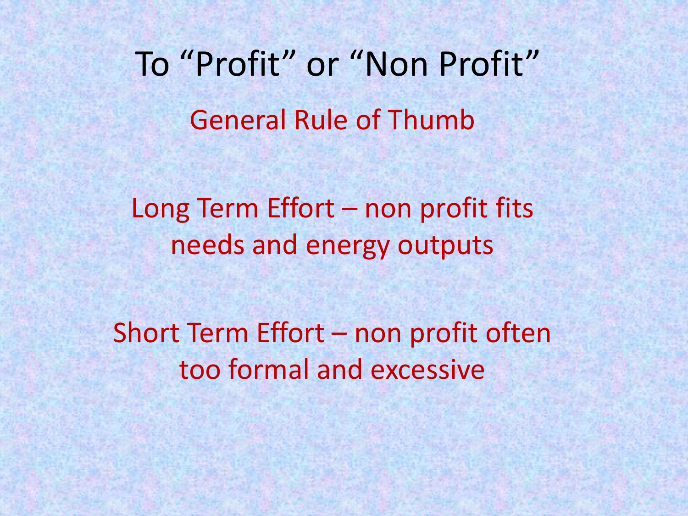To "Profit" or "Non Profit" General Rule of Thumb

Long Term Effort – non profit fits needs and energy outputs

Short Term Effort – non profit often too formal and excessive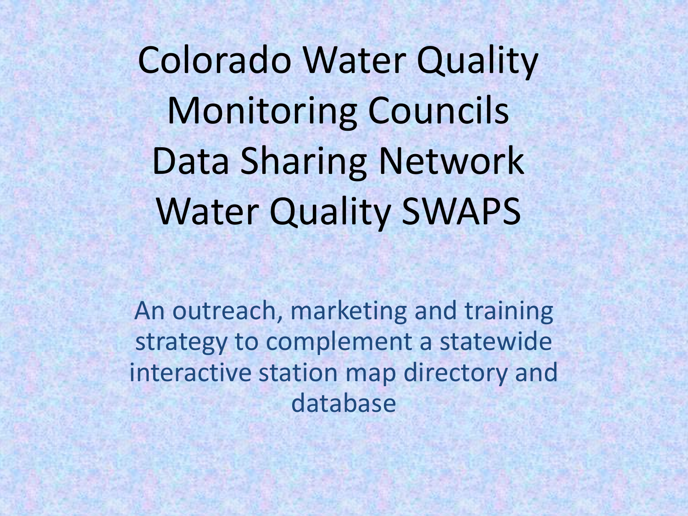Colorado Water Quality Monitoring Councils Data Sharing Network Water Quality SWAPS

An outreach, marketing and training strategy to complement a statewide interactive station map directory and database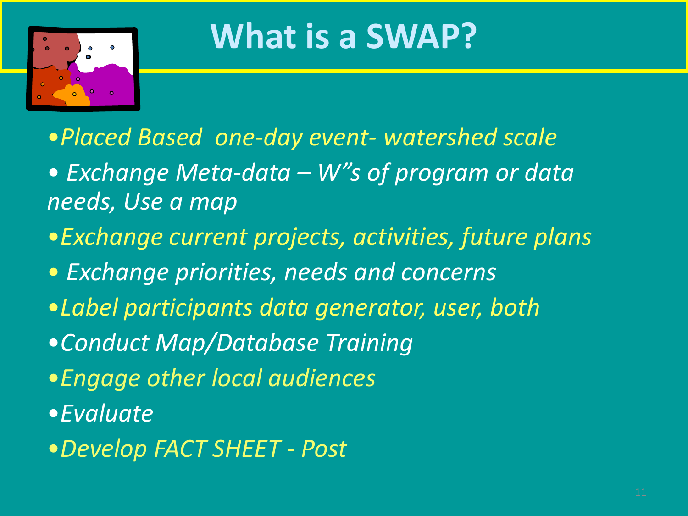

#### **What is a SWAP?**

- •*Placed Based one-day event- watershed scale*
- *Exchange Meta-data – W"s of program or data needs, Use a map*
- •*Exchange current projects, activities, future plans*
- *Exchange priorities, needs and concerns*
- •*Label participants data generator, user, both*
- •*Conduct Map/Database Training*
- •*Engage other local audiences*
- •*Evaluate*
- •*Develop FACT SHEET - Post*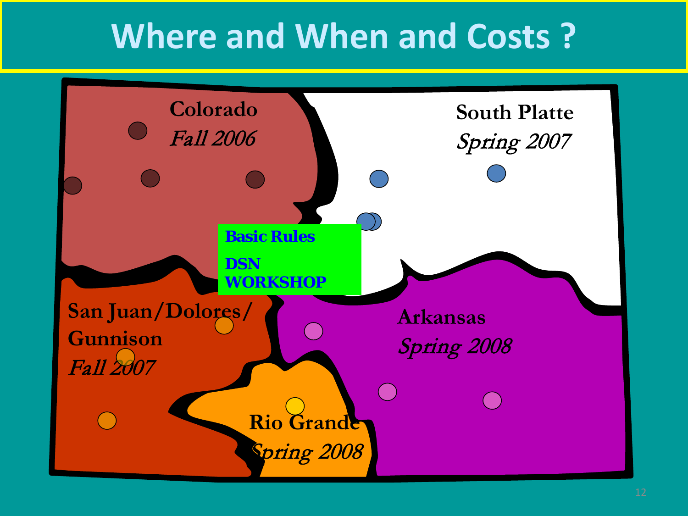#### **Where and When and Costs ?**

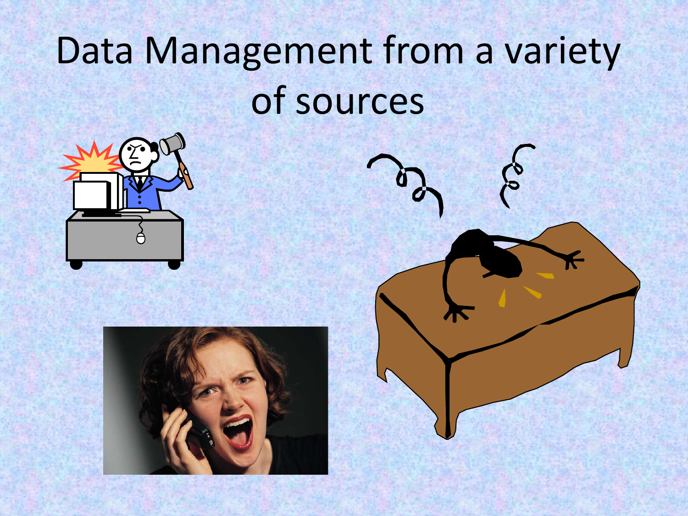## Data Management from a variety of sources